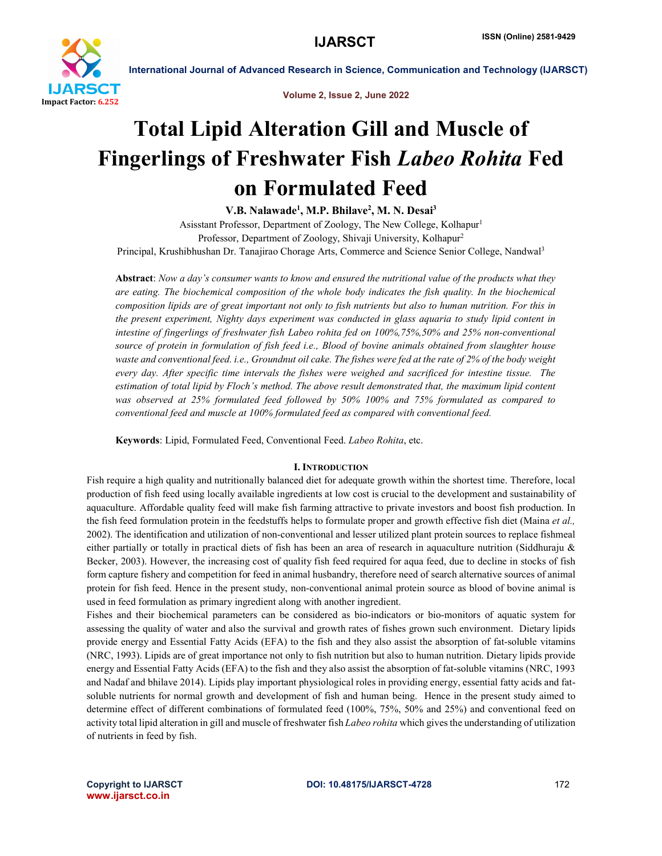

Volume 2, Issue 2, June 2022

# Total Lipid Alteration Gill and Muscle of Fingerlings of Freshwater Fish *Labeo Rohita* Fed on Formulated Feed

V.B. Nalawade<sup>1</sup>, M.P. Bhilave<sup>2</sup>, M. N. Desai<sup>3</sup>

Asisstant Professor, Department of Zoology, The New College, Kolhapur1 Professor, Department of Zoology, Shivaji University, Kolhapur2 Principal, Krushibhushan Dr. Tanajirao Chorage Arts, Commerce and Science Senior College, Nandwal3

Abstract: *Now a day's consumer wants to know and ensured the nutritional value of the products what they are eating. The biochemical composition of the whole body indicates the fish quality. In the biochemical composition lipids are of great important not only to fish nutrients but also to human nutrition. For this in the present experiment, Nighty days experiment was conducted in glass aquaria to study lipid content in intestine of fingerlings of freshwater fish Labeo rohita fed on 100%,75%,50% and 25% non-conventional source of protein in formulation of fish feed i.e., Blood of bovine animals obtained from slaughter house waste and conventional feed. i.e., Groundnut oil cake. The fishes were fed at the rate of 2% of the body weight every day. After specific time intervals the fishes were weighed and sacrificed for intestine tissue. The estimation of total lipid by Floch's method. The above result demonstrated that, the maximum lipid content was observed at 25% formulated feed followed by 50% 100% and 75% formulated as compared to conventional feed and muscle at 100% formulated feed as compared with conventional feed.*

Keywords: Lipid, Formulated Feed, Conventional Feed. *Labeo Rohita*, etc.

# I. INTRODUCTION

Fish require a high quality and nutritionally balanced diet for adequate growth within the shortest time. Therefore, local production of fish feed using locally available ingredients at low cost is crucial to the development and sustainability of aquaculture. Affordable quality feed will make fish farming attractive to private investors and boost fish production. In the fish feed formulation protein in the feedstuffs helps to formulate proper and growth effective fish diet (Maina *et al.,*  2002). The identification and utilization of non-conventional and lesser utilized plant protein sources to replace fishmeal either partially or totally in practical diets of fish has been an area of research in aquaculture nutrition (Siddhuraju & Becker, 2003). However, the increasing cost of quality fish feed required for aqua feed, due to decline in stocks of fish form capture fishery and competition for feed in animal husbandry, therefore need of search alternative sources of animal protein for fish feed. Hence in the present study, non-conventional animal protein source as blood of bovine animal is used in feed formulation as primary ingredient along with another ingredient.

Fishes and their biochemical parameters can be considered as bio-indicators or bio-monitors of aquatic system for assessing the quality of water and also the survival and growth rates of fishes grown such environment. Dietary lipids provide energy and Essential Fatty Acids (EFA) to the fish and they also assist the absorption of fat-soluble vitamins (NRC, 1993). Lipids are of great importance not only to fish nutrition but also to human nutrition. Dietary lipids provide energy and Essential Fatty Acids (EFA) to the fish and they also assist the absorption of fat-soluble vitamins (NRC, 1993 and Nadaf and bhilave 2014). Lipids play important physiological roles in providing energy, essential fatty acids and fatsoluble nutrients for normal growth and development of fish and human being. Hence in the present study aimed to determine effect of different combinations of formulated feed (100%, 75%, 50% and 25%) and conventional feed on activity total lipid alteration in gill and muscle of freshwater fish *Labeo rohita* which gives the understanding of utilization of nutrients in feed by fish.

www.ijarsct.co.in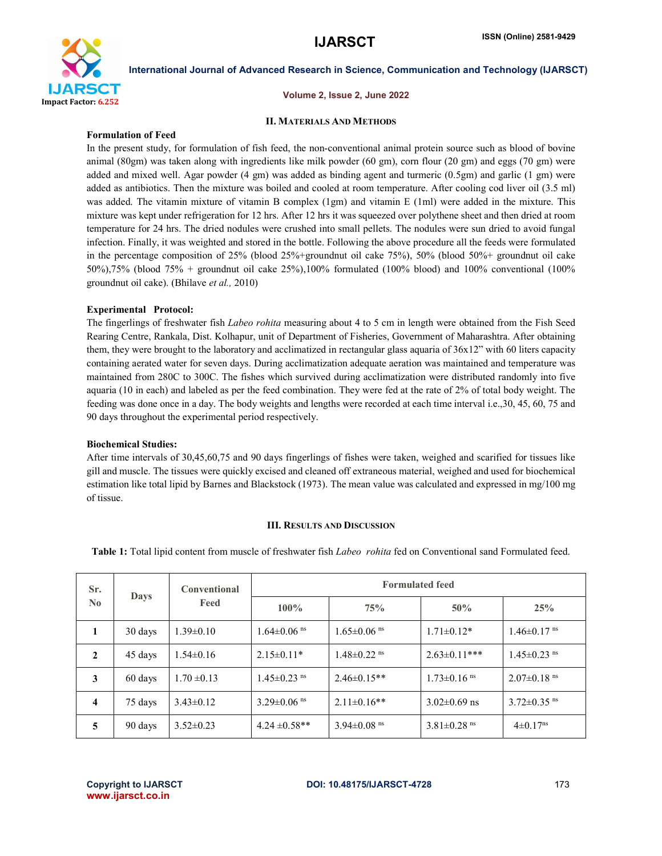

Volume 2, Issue 2, June 2022

# II. MATERIALS AND METHODS

# Formulation of Feed

In the present study, for formulation of fish feed, the non-conventional animal protein source such as blood of bovine animal (80gm) was taken along with ingredients like milk powder (60 gm), corn flour (20 gm) and eggs (70 gm) were added and mixed well. Agar powder (4 gm) was added as binding agent and turmeric (0.5gm) and garlic (1 gm) were added as antibiotics. Then the mixture was boiled and cooled at room temperature. After cooling cod liver oil (3.5 ml) was added. The vitamin mixture of vitamin B complex (1gm) and vitamin E (1ml) were added in the mixture. This mixture was kept under refrigeration for 12 hrs. After 12 hrs it was squeezed over polythene sheet and then dried at room temperature for 24 hrs. The dried nodules were crushed into small pellets. The nodules were sun dried to avoid fungal infection. Finally, it was weighted and stored in the bottle. Following the above procedure all the feeds were formulated in the percentage composition of 25% (blood 25%+groundnut oil cake 75%), 50% (blood 50%+ groundnut oil cake 50%),75% (blood 75% + groundnut oil cake 25%),100% formulated (100% blood) and 100% conventional (100% groundnut oil cake). (Bhilave *et al.,* 2010)

# Experimental Protocol:

The fingerlings of freshwater fish *Labeo rohita* measuring about 4 to 5 cm in length were obtained from the Fish Seed Rearing Centre, Rankala, Dist. Kolhapur, unit of Department of Fisheries, Government of Maharashtra. After obtaining them, they were brought to the laboratory and acclimatized in rectangular glass aquaria of 36x12" with 60 liters capacity containing aerated water for seven days. During acclimatization adequate aeration was maintained and temperature was maintained from 280C to 300C. The fishes which survived during acclimatization were distributed randomly into five aquaria (10 in each) and labeled as per the feed combination. They were fed at the rate of 2% of total body weight. The feeding was done once in a day. The body weights and lengths were recorded at each time interval i.e.,30, 45, 60, 75 and 90 days throughout the experimental period respectively.

# Biochemical Studies:

After time intervals of 30,45,60,75 and 90 days fingerlings of fishes were taken, weighed and scarified for tissues like gill and muscle. The tissues were quickly excised and cleaned off extraneous material, weighed and used for biochemical estimation like total lipid by Barnes and Blackstock (1973). The mean value was calculated and expressed in mg/100 mg of tissue.

### III. RESULTS AND DISCUSSION

Table 1: Total lipid content from muscle of freshwater fish *Labeo rohita* fed on Conventional sand Formulated feed.

| Sr.<br>$\bf No$ | <b>Days</b> | <b>Conventional</b><br>Feed | <b>Formulated feed</b>        |                               |                               |                               |  |  |
|-----------------|-------------|-----------------------------|-------------------------------|-------------------------------|-------------------------------|-------------------------------|--|--|
|                 |             |                             | $100\%$                       | 75%                           | 50%                           | 25%                           |  |  |
| -1              | 30 days     | $1.39\pm0.10$               | $1.64 \pm 0.06$ <sup>ns</sup> | $1.65 \pm 0.06$ <sup>ns</sup> | $1.71 \pm 0.12*$              | $1.46 \pm 0.17$ <sup>ns</sup> |  |  |
| $\mathbf{2}$    | 45 days     | $1.54\pm0.16$               | $2.15 \pm 0.11*$              | $1.48 \pm 0.22$ <sup>ns</sup> | $2.63 \pm 0.11$ ***           | $1.45 \pm 0.23$ <sup>ns</sup> |  |  |
| 3               | 60 days     | $1.70 \pm 0.13$             | $1.45 \pm 0.23$ <sup>ns</sup> | $2.46 \pm 0.15**$             | $1.73 \pm 0.16$ <sup>ns</sup> | $2.07 \pm 0.18$ <sup>ns</sup> |  |  |
| 4               | 75 days     | $3.43\pm0.12$               | $3.29 \pm 0.06$ <sup>ns</sup> | $2.11\pm0.16**$               | $3.02 \pm 0.69$ ns            | $3.72 \pm 0.35$ <sup>ns</sup> |  |  |
| 5               | 90 days     | $3.52 \pm 0.23$             | $4.24 \pm 0.58**$             | 3.94 $\pm$ 0.08 <sup>ms</sup> | $3.81 \pm 0.28$ <sup>ns</sup> | $4\pm 0.17$ <sup>ns</sup>     |  |  |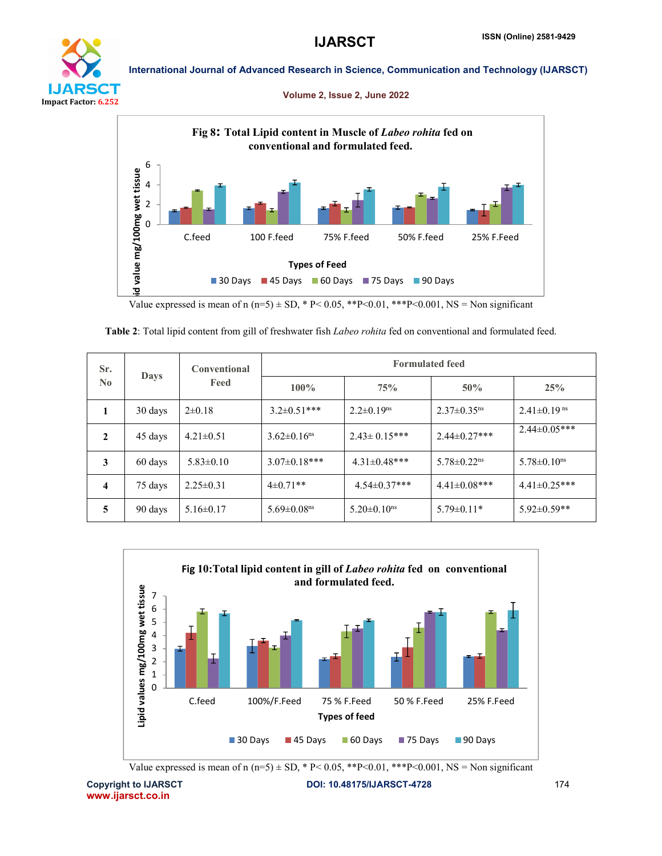

## Volume 2, Issue 2, June 2022



Value expressed is mean of n (n=5)  $\pm$  SD, \* P < 0.05, \*\*P < 0.01, \*\*\*P < 0.001, NS = Non significant

| Sr.<br>$\bf No$ | Days    | <b>Conventional</b><br>Feed | <b>Formulated feed</b>        |                               |                               |                               |  |  |
|-----------------|---------|-----------------------------|-------------------------------|-------------------------------|-------------------------------|-------------------------------|--|--|
|                 |         |                             | $100\%$                       | 75%                           | $50\%$                        | 25%                           |  |  |
|                 | 30 days | $2\pm0.18$                  | $3.2 \pm 0.51$ ***            | $2.2 \pm 0.19$ <sup>ns</sup>  | $2.37 \pm 0.35$ <sup>ns</sup> | $2.41 \pm 0.19$ <sup>ns</sup> |  |  |
| $\mathbf{2}$    | 45 days | $4.21 \pm 0.51$             | $3.62 \pm 0.16$ <sup>ns</sup> | $2.43 \pm 0.15***$            | $2.44 \pm 0.27$ ***           | $2.44 \pm 0.05$ ***           |  |  |
| 3               | 60 days | $5.83 \pm 0.10$             | $3.07 \pm 0.18$ ***           | $4.31 \pm 0.48$ ***           | $5.78 \pm 0.22$ <sup>ns</sup> | $5.78 \pm 0.10$ <sup>ns</sup> |  |  |
| 4               | 75 days | $2.25 \pm 0.31$             | $4\pm 0.71**$                 | $4.54 \pm 0.37$ ***           | $4.41 \pm 0.08$ ***           | $4.41 \pm 0.25$ ***           |  |  |
| 5               | 90 days | $5.16 \pm 0.17$             | $5.69 \pm 0.08$ <sup>ns</sup> | $5.20 \pm 0.10$ <sup>ns</sup> | $5.79 \pm 0.11*$              | $5.92 \pm 0.59**$             |  |  |

|  |  |  |  |  |  |  |  | Table 2: Total lipid content from gill of freshwater fish Labeo rohita fed on conventional and formulated feed. |  |
|--|--|--|--|--|--|--|--|-----------------------------------------------------------------------------------------------------------------|--|
|--|--|--|--|--|--|--|--|-----------------------------------------------------------------------------------------------------------------|--|



Value expressed is mean of n (n=5)  $\pm$  SD, \* P< 0.05, \*\*P<0.01, \*\*\*P<0.001, NS = Non significant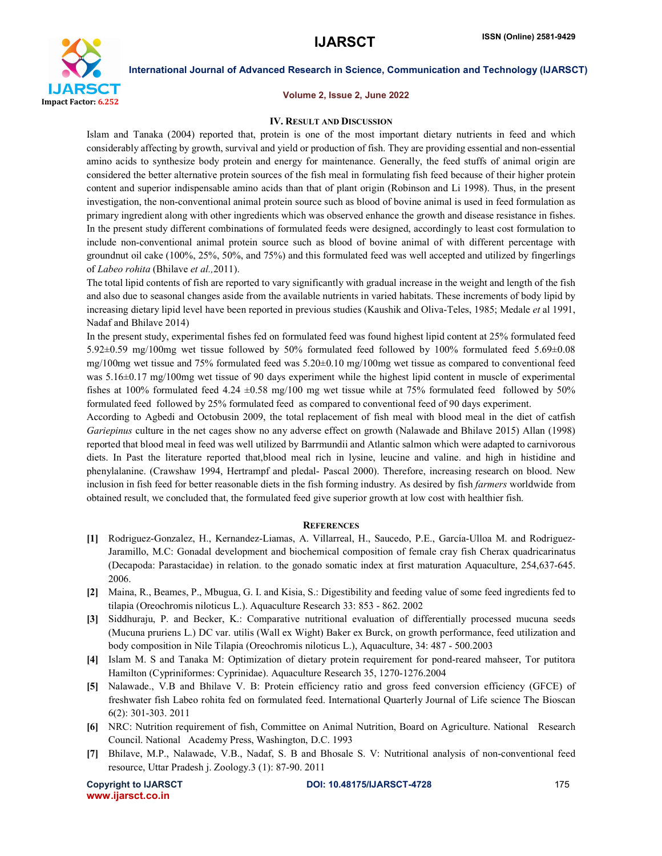

### Volume 2, Issue 2, June 2022

### IV. RESULT AND DISCUSSION

Islam and Tanaka (2004) reported that, protein is one of the most important dietary nutrients in feed and which considerably affecting by growth, survival and yield or production of fish. They are providing essential and non-essential amino acids to synthesize body protein and energy for maintenance. Generally, the feed stuffs of animal origin are considered the better alternative protein sources of the fish meal in formulating fish feed because of their higher protein content and superior indispensable amino acids than that of plant origin (Robinson and Li 1998). Thus, in the present investigation, the non-conventional animal protein source such as blood of bovine animal is used in feed formulation as primary ingredient along with other ingredients which was observed enhance the growth and disease resistance in fishes. In the present study different combinations of formulated feeds were designed, accordingly to least cost formulation to include non-conventional animal protein source such as blood of bovine animal of with different percentage with groundnut oil cake (100%, 25%, 50%, and 75%) and this formulated feed was well accepted and utilized by fingerlings of *Labeo rohita* (Bhilave *et al.,*2011).

The total lipid contents of fish are reported to vary significantly with gradual increase in the weight and length of the fish and also due to seasonal changes aside from the available nutrients in varied habitats. These increments of body lipid by increasing dietary lipid level have been reported in previous studies (Kaushik and Oliva-Teles, 1985; Medale *et* al 1991, Nadaf and Bhilave 2014)

In the present study, experimental fishes fed on formulated feed was found highest lipid content at 25% formulated feed 5.92±0.59 mg/100mg wet tissue followed by 50% formulated feed followed by 100% formulated feed 5.69±0.08 mg/100mg wet tissue and 75% formulated feed was 5.20±0.10 mg/100mg wet tissue as compared to conventional feed was 5.16±0.17 mg/100mg wet tissue of 90 days experiment while the highest lipid content in muscle of experimental fishes at 100% formulated feed 4.24  $\pm$ 0.58 mg/100 mg wet tissue while at 75% formulated feed followed by 50% formulated feed followed by 25% formulated feed as compared to conventional feed of 90 days experiment.

According to Agbedi and Octobusin 2009, the total replacement of fish meal with blood meal in the diet of catfish *Gariepinus* culture in the net cages show no any adverse effect on growth (Nalawade and Bhilave 2015) Allan (1998) reported that blood meal in feed was well utilized by Barrmundii and Atlantic salmon which were adapted to carnivorous diets. In Past the literature reported that,blood meal rich in lysine, leucine and valine. and high in histidine and phenylalanine. (Crawshaw 1994, Hertrampf and pledal- Pascal 2000). Therefore, increasing research on blood. New inclusion in fish feed for better reasonable diets in the fish forming industry. As desired by fish *farmers* worldwide from obtained result, we concluded that, the formulated feed give superior growth at low cost with healthier fish.

### **REFERENCES**

- [1] Rodriguez-Gonzalez, H., Kernandez-Liamas, A. Villarreal, H., Saucedo, P.E., García-Ulloa M. and Rodriguez-Jaramillo, M.C: Gonadal development and biochemical composition of female cray fish Cherax quadricarinatus (Decapoda: Parastacidae) in relation. to the gonado somatic index at first maturation Aquaculture, 254,637-645. 2006.
- [2] Maina, R., Beames, P., Mbugua, G. I. and Kisia, S.: Digestibility and feeding value of some feed ingredients fed to tilapia (Oreochromis niloticus L.). Aquaculture Research 33: 853 - 862. 2002
- [3] Siddhuraju, P. and Becker, K.: Comparative nutritional evaluation of differentially processed mucuna seeds (Mucuna pruriens L.) DC var. utilis (Wall ex Wight) Baker ex Burck, on growth performance, feed utilization and body composition in Nile Tilapia (Oreochromis niloticus L.), Aquaculture, 34: 487 - 500.2003
- [4] Islam M. S and Tanaka M: Optimization of dietary protein requirement for pond-reared mahseer, Tor putitora Hamilton (Cypriniformes: Cyprinidae). Aquaculture Research 35, 1270-1276.2004
- [5] Nalawade., V.B and Bhilave V. B: Protein efficiency ratio and gross feed conversion efficiency (GFCE) of freshwater fish Labeo rohita fed on formulated feed. International Quarterly Journal of Life science The Bioscan 6(2): 301-303. 2011
- [6] NRC: Nutrition requirement of fish, Committee on Animal Nutrition, Board on Agriculture. National Research Council. National Academy Press, Washington, D.C. 1993
- [7] Bhilave, M.P., Nalawade, V.B., Nadaf, S. B and Bhosale S. V: Nutritional analysis of non-conventional feed resource, Uttar Pradesh j. Zoology.3 (1): 87-90. 2011

www.ijarsct.co.in